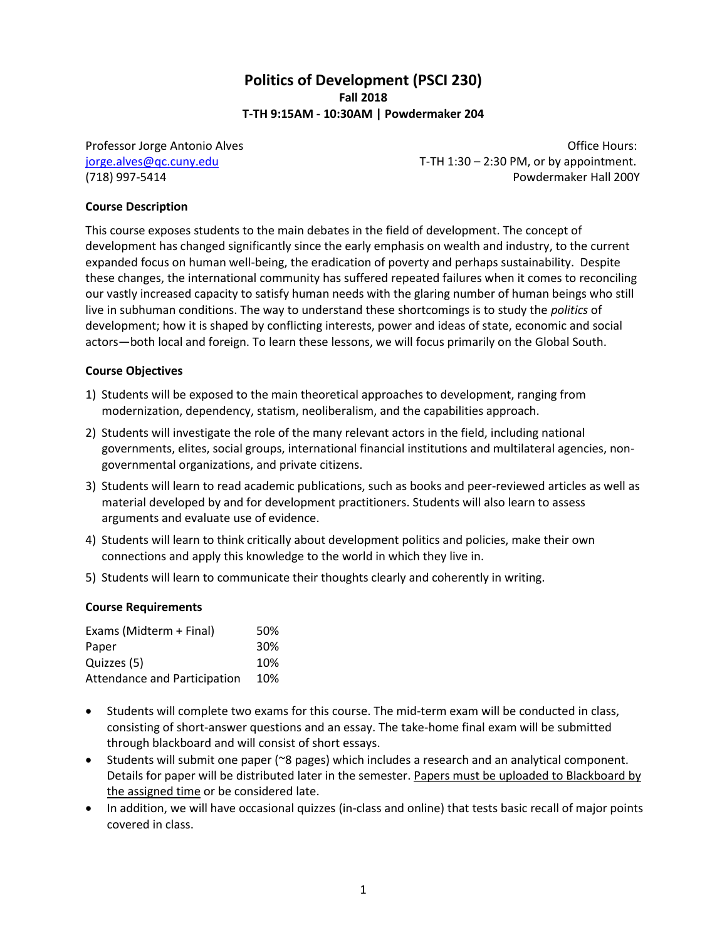# **Politics of Development (PSCI 230) Fall 2018 T-TH 9:15AM - 10:30AM | Powdermaker 204**

Professor Jorge Antonio Alves **New York 1988** 2012 12:30 No. 2013 [jorge.alves@qc.cuny.edu](mailto:jorge.alves@qc.cuny.edu) T-TH 1:30 – 2:30 PM, or by appointment. (718) 997-5414 Powdermaker Hall 200Y

# **Course Description**

This course exposes students to the main debates in the field of development. The concept of development has changed significantly since the early emphasis on wealth and industry, to the current expanded focus on human well-being, the eradication of poverty and perhaps sustainability. Despite these changes, the international community has suffered repeated failures when it comes to reconciling our vastly increased capacity to satisfy human needs with the glaring number of human beings who still live in subhuman conditions. The way to understand these shortcomings is to study the *politics* of development; how it is shaped by conflicting interests, power and ideas of state, economic and social actors—both local and foreign. To learn these lessons, we will focus primarily on the Global South.

### **Course Objectives**

- 1) Students will be exposed to the main theoretical approaches to development, ranging from modernization, dependency, statism, neoliberalism, and the capabilities approach.
- 2) Students will investigate the role of the many relevant actors in the field, including national governments, elites, social groups, international financial institutions and multilateral agencies, nongovernmental organizations, and private citizens.
- 3) Students will learn to read academic publications, such as books and peer-reviewed articles as well as material developed by and for development practitioners. Students will also learn to assess arguments and evaluate use of evidence.
- 4) Students will learn to think critically about development politics and policies, make their own connections and apply this knowledge to the world in which they live in.
- 5) Students will learn to communicate their thoughts clearly and coherently in writing.

### **Course Requirements**

| Exams (Midterm + Final)      | 50% |
|------------------------------|-----|
| Paper                        | 30% |
| Quizzes (5)                  | 10% |
| Attendance and Participation | 10% |

- Students will complete two exams for this course. The mid-term exam will be conducted in class, consisting of short-answer questions and an essay. The take-home final exam will be submitted through blackboard and will consist of short essays.
- Students will submit one paper (~8 pages) which includes a research and an analytical component. Details for paper will be distributed later in the semester. Papers must be uploaded to Blackboard by the assigned time or be considered late.
- In addition, we will have occasional quizzes (in-class and online) that tests basic recall of major points covered in class.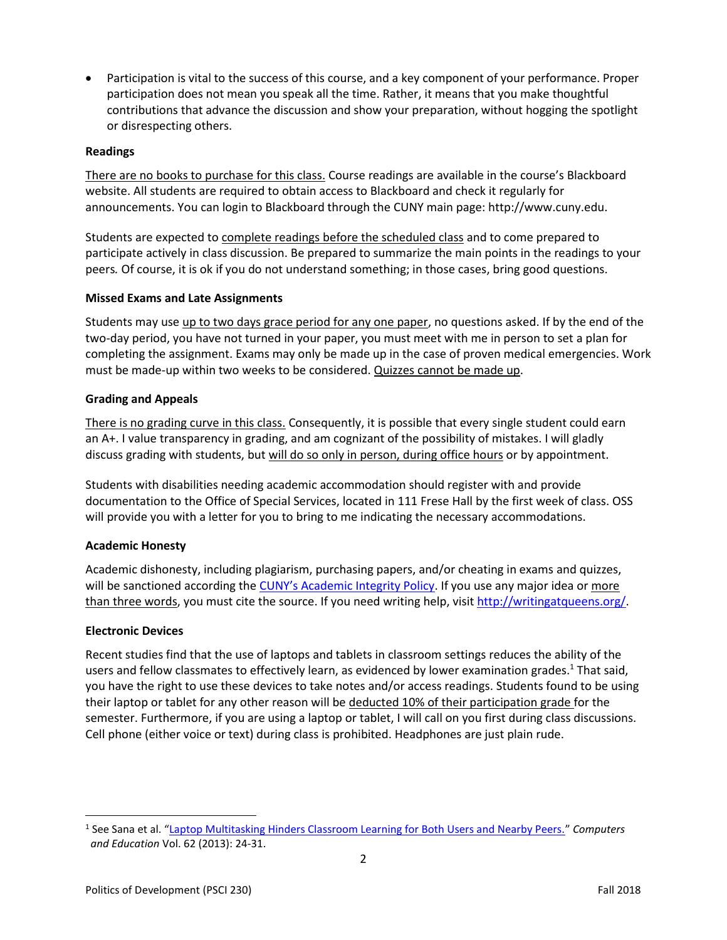Participation is vital to the success of this course, and a key component of your performance. Proper participation does not mean you speak all the time. Rather, it means that you make thoughtful contributions that advance the discussion and show your preparation, without hogging the spotlight or disrespecting others.

# **Readings**

There are no books to purchase for this class. Course readings are available in the course's Blackboard website. All students are required to obtain access to Blackboard and check it regularly for announcements. You can login to Blackboard through the CUNY main page: http://www.cuny.edu.

Students are expected to complete readings before the scheduled class and to come prepared to participate actively in class discussion. Be prepared to summarize the main points in the readings to your peers*.* Of course, it is ok if you do not understand something; in those cases, bring good questions.

# **Missed Exams and Late Assignments**

Students may use up to two days grace period for any one paper, no questions asked. If by the end of the two-day period, you have not turned in your paper, you must meet with me in person to set a plan for completing the assignment. Exams may only be made up in the case of proven medical emergencies. Work must be made-up within two weeks to be considered. Quizzes cannot be made up.

# **Grading and Appeals**

There is no grading curve in this class. Consequently, it is possible that every single student could earn an A+. I value transparency in grading, and am cognizant of the possibility of mistakes. I will gladly discuss grading with students, but will do so only in person, during office hours or by appointment.

Students with disabilities needing academic accommodation should register with and provide documentation to the Office of Special Services, located in 111 Frese Hall by the first week of class. OSS will provide you with a letter for you to bring to me indicating the necessary accommodations.

# **Academic Honesty**

Academic dishonesty, including plagiarism, purchasing papers, and/or cheating in exams and quizzes, will be sanctioned according the [CUNY's Academic Integrity Policy](https://www.cuny.edu/about/administration/offices/la/Academic_Integrity_Policy.pdf). If you use any major idea or more than three words, you must cite the source. If you need writing help, visit [http://writingatqueens.org/.](http://writingatqueens.org/)

### **Electronic Devices**

 $\overline{a}$ 

Recent studies find that the use of laptops and tablets in classroom settings reduces the ability of the users and fellow classmates to effectively learn, as evidenced by lower examination grades.<sup>1</sup> That said, you have the right to use these devices to take notes and/or access readings. Students found to be using their laptop or tablet for any other reason will be deducted 10% of their participation grade for the semester. Furthermore, if you are using a laptop or tablet, I will call on you first during class discussions. Cell phone (either voice or text) during class is prohibited. Headphones are just plain rude.

<sup>1</sup> See Sana et al. "[Laptop Multitasking Hinders Classroom Learning for Both Users and Nearby Peers.](http://www.sciencedirect.com/science/article/pii/S0360131512002254)" *Computers and Education* Vol. 62 (2013): 24-31.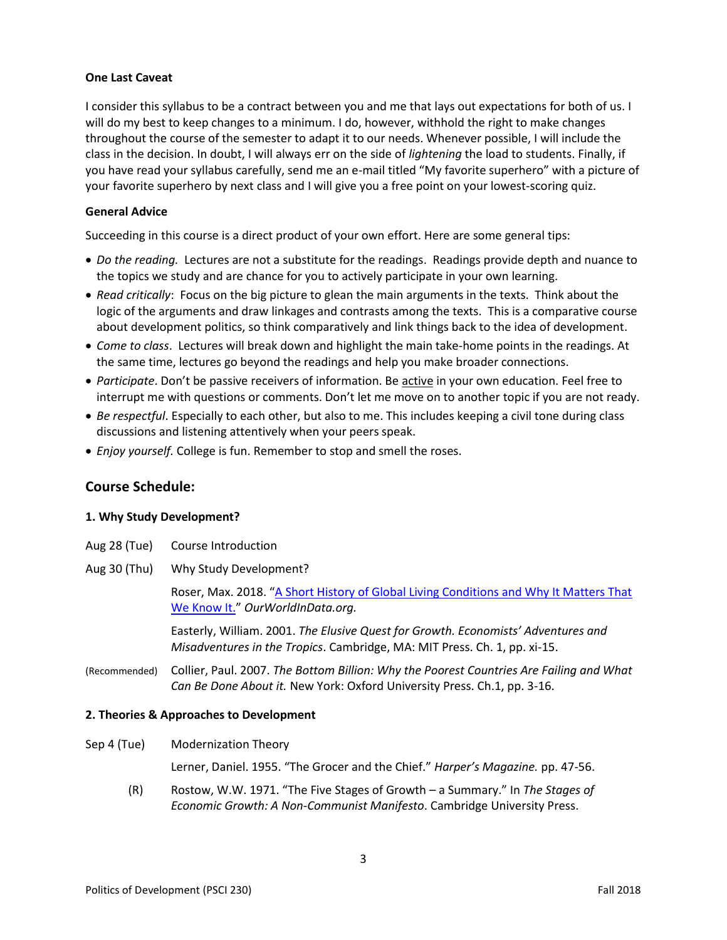# **One Last Caveat**

I consider this syllabus to be a contract between you and me that lays out expectations for both of us. I will do my best to keep changes to a minimum. I do, however, withhold the right to make changes throughout the course of the semester to adapt it to our needs. Whenever possible, I will include the class in the decision. In doubt, I will always err on the side of *lightening* the load to students. Finally, if you have read your syllabus carefully, send me an e-mail titled "My favorite superhero" with a picture of your favorite superhero by next class and I will give you a free point on your lowest-scoring quiz.

# **General Advice**

Succeeding in this course is a direct product of your own effort. Here are some general tips:

- *Do the reading.* Lectures are not a substitute for the readings. Readings provide depth and nuance to the topics we study and are chance for you to actively participate in your own learning.
- *Read critically*: Focus on the big picture to glean the main arguments in the texts. Think about the logic of the arguments and draw linkages and contrasts among the texts. This is a comparative course about development politics, so think comparatively and link things back to the idea of development.
- *Come to class*. Lectures will break down and highlight the main take-home points in the readings. At the same time, lectures go beyond the readings and help you make broader connections.
- *Participate*. Don't be passive receivers of information. Be active in your own education. Feel free to interrupt me with questions or comments. Don't let me move on to another topic if you are not ready.
- *Be respectful*. Especially to each other, but also to me. This includes keeping a civil tone during class discussions and listening attentively when your peers speak.
- *Enjoy yourself.* College is fun. Remember to stop and smell the roses.

# **Course Schedule:**

### **1. Why Study Development?**

|              | Aug 28 (Tue) Course Introduction                                                                                           |
|--------------|----------------------------------------------------------------------------------------------------------------------------|
| Aug 30 (Thu) | Why Study Development?                                                                                                     |
|              | Roser, Max. 2018. "A Short History of Global Living Conditions and Why It Matters That<br>We Know It." OurWorldInData.org. |
|              | Easterly William 2001 The Elusive Quest for Growth Fronomists' Adventures and                                              |

Easterly, William. 2001. *The Elusive Quest for Growth. Economists' Adventures and Misadventures in the Tropics*. Cambridge, MA: MIT Press. Ch. 1, pp. xi-15.

(Recommended) Collier, Paul. 2007. *The Bottom Billion: Why the Poorest Countries Are Failing and What Can Be Done About it.* New York: Oxford University Press. Ch.1, pp. 3-16.

### **2. Theories & Approaches to Development**

Sep 4 (Tue) Modernization Theory

Lerner, Daniel. 1955. "The Grocer and the Chief." *Harper's Magazine.* pp. 47-56.

(R) Rostow, W.W. 1971. "The Five Stages of Growth – a Summary." In *The Stages of Economic Growth: A Non-Communist Manifesto*. Cambridge University Press.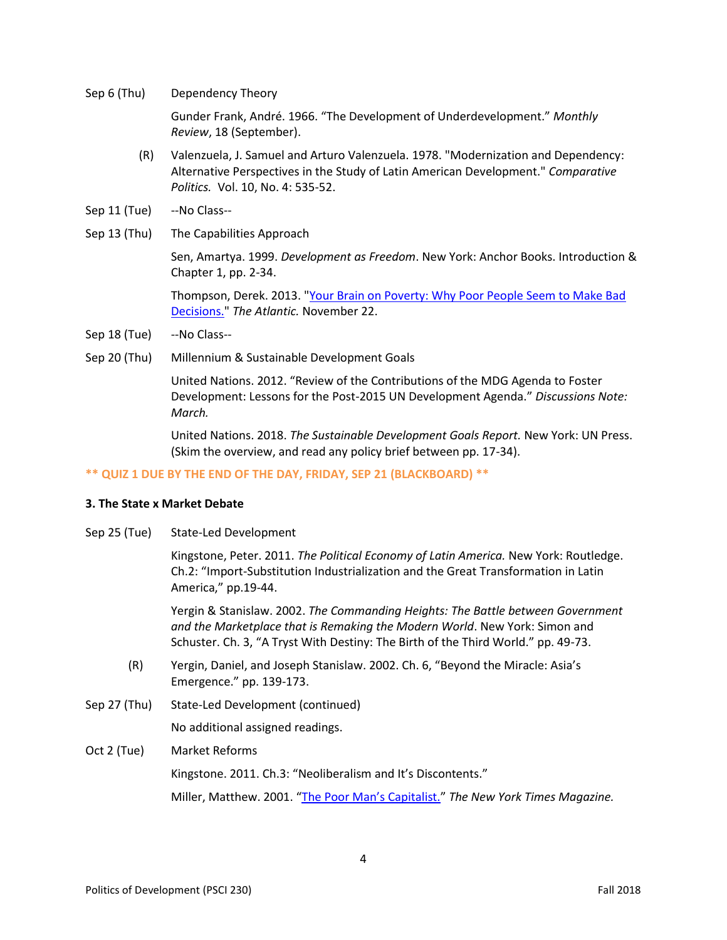Sep 6 (Thu) Dependency Theory

Gunder Frank, André. 1966. "The Development of Underdevelopment." *Monthly Review*, 18 (September).

- (R) Valenzuela, J. Samuel and Arturo Valenzuela. 1978. "Modernization and Dependency: Alternative Perspectives in the Study of Latin American Development." *Comparative Politics.* Vol. 10, No. 4: 535-52.
- Sep 11 (Tue) --No Class--
- Sep 13 (Thu) The Capabilities Approach

Sen, Amartya. 1999. *Development as Freedom*. New York: Anchor Books. Introduction & Chapter 1, pp. 2-34.

Thompson, Derek. 2013. ["Your Brain on Poverty: Why Poor People Seem to Make Bad](http://www.theatlantic.com/business/archive/2013/11/your-brain-on-poverty-why-poor-people-seem-to-make-bad-decisions/281780/)  [Decisions."](http://www.theatlantic.com/business/archive/2013/11/your-brain-on-poverty-why-poor-people-seem-to-make-bad-decisions/281780/) *The Atlantic.* November 22.

- Sep 18 (Tue) --No Class--
- Sep 20 (Thu) Millennium & Sustainable Development Goals

United Nations. 2012. "Review of the Contributions of the MDG Agenda to Foster Development: Lessons for the Post-2015 UN Development Agenda." *Discussions Note: March.*

United Nations. 2018. *The Sustainable Development Goals Report.* New York: UN Press. (Skim the overview, and read any policy brief between pp. 17-34).

### **\*\* QUIZ 1 DUE BY THE END OF THE DAY, FRIDAY, SEP 21 (BLACKBOARD) \*\***

# **3. The State x Market Debate**

Sep 25 (Tue) State-Led Development

Kingstone, Peter. 2011. *The Political Economy of Latin America.* New York: Routledge. Ch.2: "Import-Substitution Industrialization and the Great Transformation in Latin America," pp.19-44.

Yergin & Stanislaw. 2002. *The Commanding Heights: The Battle between Government and the Marketplace that is Remaking the Modern World*. New York: Simon and Schuster. Ch. 3, "A Tryst With Destiny: The Birth of the Third World." pp. 49-73.

- (R) Yergin, Daniel, and Joseph Stanislaw. 2002. Ch. 6, "Beyond the Miracle: Asia's Emergence." pp. 139-173.
- Sep 27 (Thu) State-Led Development (continued)

No additional assigned readings.

Oct 2 (Tue) Market Reforms

Kingstone. 2011. Ch.3: "Neoliberalism and It's Discontents."

Miller, Matthew. 2001. ["The Poor Man's Capitalist."](http://www.nytimes.com/2001/07/01/magazine/the-poor-man-s-capitalist.html) *The New York Times Magazine.*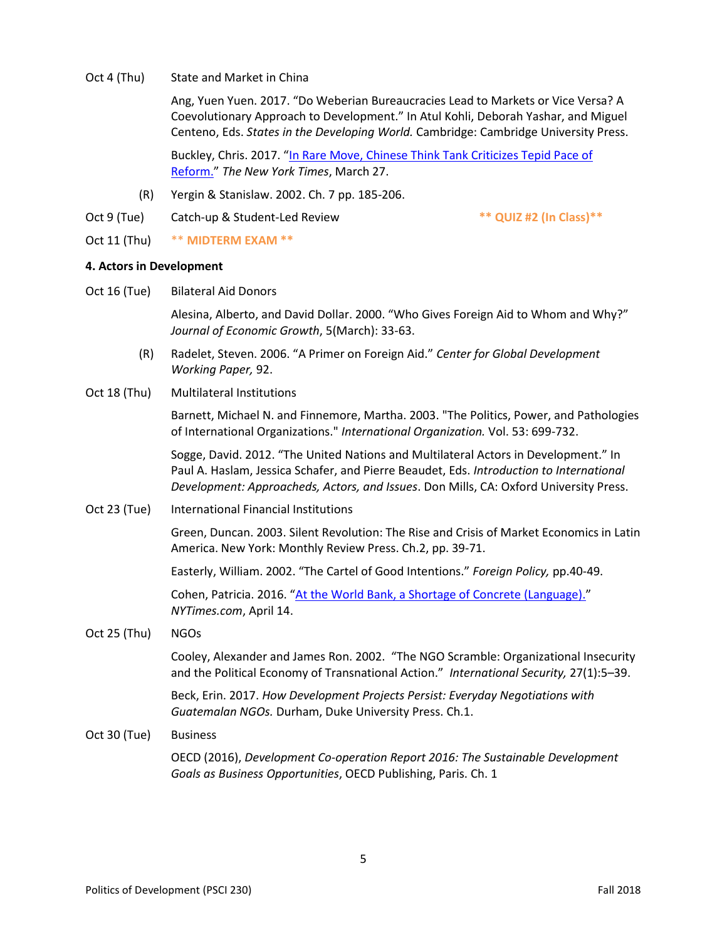Oct 4 (Thu) State and Market in China

Ang, Yuen Yuen. 2017. "Do Weberian Bureaucracies Lead to Markets or Vice Versa? A Coevolutionary Approach to Development." In Atul Kohli, Deborah Yashar, and Miguel Centeno, Eds. *States in the Developing World.* Cambridge: Cambridge University Press.

Buckley, Chris. 2017. "[In Rare Move, Chinese Think Tank Criticizes Tepid Pace of](https://www.nytimes.com/2017/03/27/business/chinese-economy-reform-critical-report.html)  [Reform.](https://www.nytimes.com/2017/03/27/business/chinese-economy-reform-critical-report.html)" *The New York Times*, March 27.

- (R) Yergin & Stanislaw. 2002. Ch. 7 pp. 185-206.
- Oct 9 (Tue) Catch-up & Student-Led Review **\*\* QUIZ #2 (In Class)\*\***

Oct 11 (Thu) \*\* **MIDTERM EXAM \*\***

# **4. Actors in Development**

Oct 16 (Tue) Bilateral Aid Donors

Alesina, Alberto, and David Dollar. 2000. "Who Gives Foreign Aid to Whom and Why?" *Journal of Economic Growth*, 5(March): 33-63.

- (R) Radelet, Steven. 2006. "A Primer on Foreign Aid." *Center for Global Development Working Paper,* 92.
- Oct 18 (Thu) Multilateral Institutions

Barnett, Michael N. and Finnemore, Martha. 2003. "The Politics, Power, and Pathologies of International Organizations." *International Organization.* Vol. 53: 699-732.

Sogge, David. 2012. "The United Nations and Multilateral Actors in Development." In Paul A. Haslam, Jessica Schafer, and Pierre Beaudet, Eds. *Introduction to International Development: Approacheds, Actors, and Issues*. Don Mills, CA: Oxford University Press.

Oct 23 (Tue) International Financial Institutions

Green, Duncan. 2003. Silent Revolution: The Rise and Crisis of Market Economics in Latin America. New York: Monthly Review Press. Ch.2, pp. 39-71.

Easterly, William. 2002. "The Cartel of Good Intentions." *Foreign Policy,* pp.40-49.

Cohen, Patricia. 2016. "[At the World Bank, a Shortage of Concrete \(Language\).](http://www.nytimes.com/2016/04/15/upshot/at-the-world-bank-a-shortage-of-concrete-language.html)" *NYTimes.com*, April 14.

# Oct 25 (Thu) NGOs

Cooley, Alexander and James Ron. 2002. "The NGO Scramble: Organizational Insecurity and the Political Economy of Transnational Action." *International Security,* 27(1):5–39.

Beck, Erin. 2017. *How Development Projects Persist: Everyday Negotiations with Guatemalan NGOs.* Durham, Duke University Press. Ch.1.

Oct 30 (Tue) Business

OECD (2016), *Development Co-operation Report 2016: The Sustainable Development Goals as Business Opportunities*, OECD Publishing, Paris. Ch. 1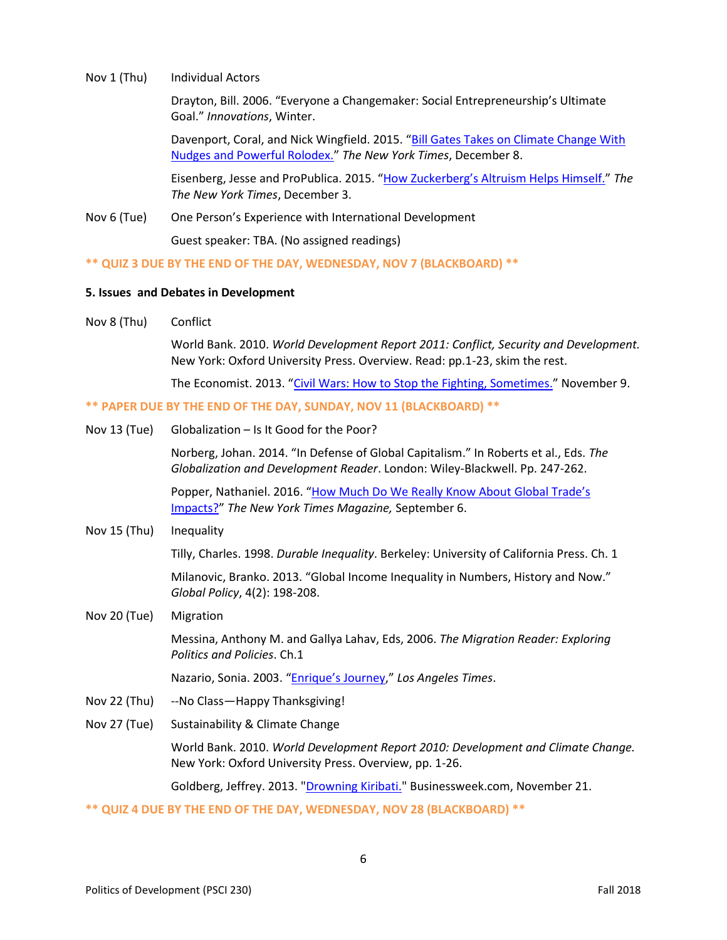#### Nov 1 (Thu) Individual Actors

Drayton, Bill. 2006. "Everyone a Changemaker: Social Entrepreneurship's Ultimate Goal." *Innovations*, Winter.

Davenport, Coral, and Nick Wingfield. 2015. "[Bill Gates Takes on Climate Change With](http://www.nytimes.com/2015/12/09/business/energy-environment/bill-gates-takes-on-climate-change-with-nudges-and-a-powerful-rolodex.html)  [Nudges and Powerful Rolodex.](http://www.nytimes.com/2015/12/09/business/energy-environment/bill-gates-takes-on-climate-change-with-nudges-and-a-powerful-rolodex.html)" *The New York Times*, December 8.

Eisenberg, Jesse and ProPublica. 2015. ["How Zuckerberg's Altruism Helps Himself."](http://www.nytimes.com/2015/12/04/business/dealbook/how-mark-zuckerbergs-altruism-helps-himself.html) *The The New York Times*, December 3.

Nov 6 (Tue) One Person's Experience with International Development

Guest speaker: TBA. (No assigned readings)

**\*\* QUIZ 3 DUE BY THE END OF THE DAY, WEDNESDAY, NOV 7 (BLACKBOARD) \*\***

### **5. Issues and Debates in Development**

Nov 8 (Thu) Conflict

World Bank. 2010. *World Development Report 2011: Conflict, Security and Development.* New York: Oxford University Press. Overview. Read: pp.1-23, skim the rest.

The Economist. 2013. "Civil Wars: How to Stop [the Fighting, Sometimes.](http://www.economist.com/news/briefing/21589431-bringing-end-conflicts-within-states-vexatious-history-provides-guide)" November 9.

**\*\* PAPER DUE BY THE END OF THE DAY, SUNDAY, NOV 11 (BLACKBOARD) \*\***

Nov 13 (Tue) Globalization – Is It Good for the Poor?

Norberg, Johan. 2014. "In Defense of Global Capitalism." In Roberts et al., Eds. *The Globalization and Development Reader*. London: Wiley-Blackwell. Pp. 247-262.

Popper, Nathaniel. 2016. "[How Much Do We Really Know About](https://www.nytimes.com/2016/09/11/magazine/how-much-do-we-really-know-about-global-trades-impacts.html) Global Trade's [Impacts?](https://www.nytimes.com/2016/09/11/magazine/how-much-do-we-really-know-about-global-trades-impacts.html)" *The New York Times Magazine,* September 6.

Nov 15 (Thu) Inequality

Tilly, Charles. 1998. *Durable Inequality*. Berkeley: University of California Press. Ch. 1

Milanovic, Branko. 2013. "Global Income Inequality in Numbers, History and Now." *Global Policy*, 4(2): 198-208.

Nov 20 (Tue) Migration

Messina, Anthony M. and Gallya Lahav, Eds, 2006. *The Migration Reader: Exploring Politics and Policies*. Ch.1

Nazario, Sonia. 2003. ["Enrique's Journey,](http://www.pulitzer.org/winners/6965)" *Los Angeles Times*.

- Nov 22 (Thu) --No Class—Happy Thanksgiving!
- Nov 27 (Tue) Sustainability & Climate Change

World Bank. 2010. *World Development Report 2010: Development and Climate Change.*  New York: Oxford University Press. Overview, pp. 1-26.

Goldberg, Jeffrey. 2013. ["Drowning Kiribati."](http://www.businessweek.com/articles/2013-11-21/kiribati-climate-change-destroys-pacific-island-nation) Businessweek.com, November 21.

**\*\* QUIZ 4 DUE BY THE END OF THE DAY, WEDNESDAY, NOV 28 (BLACKBOARD) \*\***